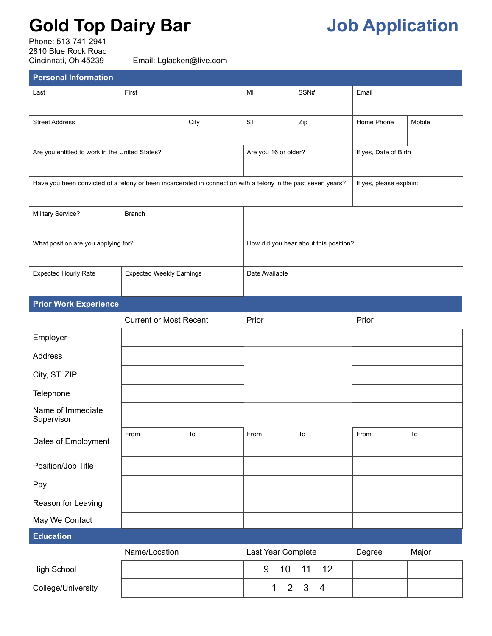## **Gold Top Dairy Bar Job Application**

Phone: 513-741-2941 2810 Blue Rock Road<br>Cincinnati, Oh 45239

Email: Lglacken@live.com

| <b>Personal Information</b>                    |                                                                                                                                          |                                |                                            |            |        |
|------------------------------------------------|------------------------------------------------------------------------------------------------------------------------------------------|--------------------------------|--------------------------------------------|------------|--------|
| Last                                           | First                                                                                                                                    | MI                             | SSN#                                       | Email      |        |
| <b>Street Address</b>                          | City                                                                                                                                     | <b>ST</b>                      | Zip                                        | Home Phone | Mobile |
| Are you entitled to work in the United States? | Are you 16 or older?<br>If yes, Date of Birth                                                                                            |                                |                                            |            |        |
|                                                | Have you been convicted of a felony or been incarcerated in connection with a felony in the past seven years?<br>If yes, please explain: |                                |                                            |            |        |
| Military Service?                              |                                                                                                                                          |                                |                                            |            |        |
| What position are you applying for?            | How did you hear about this position?                                                                                                    |                                |                                            |            |        |
| <b>Expected Hourly Rate</b>                    | <b>Expected Weekly Earnings</b>                                                                                                          | Date Available                 |                                            |            |        |
| <b>Prior Work Experience</b>                   |                                                                                                                                          |                                |                                            |            |        |
|                                                | <b>Current or Most Recent</b>                                                                                                            | Prior                          |                                            | Prior      |        |
| Employer                                       |                                                                                                                                          |                                |                                            |            |        |
| Address                                        |                                                                                                                                          |                                |                                            |            |        |
| City, ST, ZIP                                  |                                                                                                                                          |                                |                                            |            |        |
| Telephone                                      |                                                                                                                                          |                                |                                            |            |        |
| Name of Immediate<br>Supervisor                |                                                                                                                                          |                                |                                            |            |        |
| Dates of Employment                            | From<br>To                                                                                                                               | From                           | $\mathsf{To}$                              | From       | To     |
| Position/Job Title                             |                                                                                                                                          |                                |                                            |            |        |
| Pay                                            |                                                                                                                                          |                                |                                            |            |        |
| Reason for Leaving                             |                                                                                                                                          |                                |                                            |            |        |
| May We Contact                                 |                                                                                                                                          |                                |                                            |            |        |
| <b>Education</b>                               |                                                                                                                                          |                                |                                            |            |        |
|                                                | Name/Location                                                                                                                            | Last Year Complete             |                                            | Degree     | Major  |
| <b>High School</b>                             |                                                                                                                                          | 10<br>9                        | 11<br>12                                   |            |        |
| College/University                             |                                                                                                                                          | $\overline{2}$<br>$\mathbf{1}$ | $\mathfrak{S}$<br>$\overline{\mathcal{A}}$ |            |        |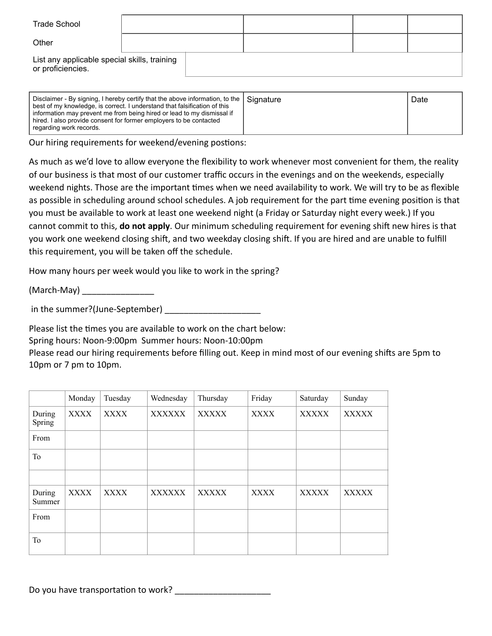| <b>Trade School</b>                                               |  |  |  |
|-------------------------------------------------------------------|--|--|--|
| Other                                                             |  |  |  |
| List any applicable special skills, training<br>or proficiencies. |  |  |  |

| Disclaimer - By signing, I hereby certify that the above information, to the   Signature<br>best of my knowledge, is correct. I understand that falsification of this<br>information may prevent me from being hired or lead to my dismissal if<br>hired. I also provide consent for former employers to be contacted<br>regarding work records. |  | Date |
|--------------------------------------------------------------------------------------------------------------------------------------------------------------------------------------------------------------------------------------------------------------------------------------------------------------------------------------------------|--|------|
|--------------------------------------------------------------------------------------------------------------------------------------------------------------------------------------------------------------------------------------------------------------------------------------------------------------------------------------------------|--|------|

Our hiring requirements for weekend/evening postions:

As much as we'd love to allow everyone the flexibility to work whenever most convenient for them, the reality of our business is that most of our customer traffic occurs in the evenings and on the weekends, especially weekend nights. Those are the important times when we need availability to work. We will try to be as flexible as possible in scheduling around school schedules. A job requirement for the part time evening position is that you must be available to work at least one weekend night (a Friday or Saturday night every week.) If you cannot commit to this, **do not apply**. Our minimum scheduling requirement for evening shift new hires is that you work one weekend closing shift, and two weekday closing shift. If you are hired and are unable to fulfill this requirement, you will be taken off the schedule.

How many hours per week would you like to work in the spring?

(March-May) \_\_\_\_\_\_\_\_\_\_\_\_\_\_\_\_\_\_

in the summer?(June-September)

Please list the times you are available to work on the chart below:

Spring hours: Noon-9:00pm Summer hours: Noon-10:00pm

Please read our hiring requirements before filling out. Keep in mind most of our evening shifts are 5pm to 10pm or 7 pm to 10pm.

|                  | Monday      | Tuesday     | Wednesday     | Thursday     | Friday      | Saturday     | Sunday       |
|------------------|-------------|-------------|---------------|--------------|-------------|--------------|--------------|
| During<br>Spring | <b>XXXX</b> | <b>XXXX</b> | <b>XXXXXX</b> | <b>XXXXX</b> | <b>XXXX</b> | <b>XXXXX</b> | <b>XXXXX</b> |
| From             |             |             |               |              |             |              |              |
| To               |             |             |               |              |             |              |              |
|                  |             |             |               |              |             |              |              |
| During<br>Summer | <b>XXXX</b> | <b>XXXX</b> | <b>XXXXXX</b> | <b>XXXXX</b> | XXXX        | <b>XXXXX</b> | <b>XXXXX</b> |
| From             |             |             |               |              |             |              |              |
| To               |             |             |               |              |             |              |              |

Do you have transportation to work? \_\_\_\_\_\_\_\_\_\_\_\_\_\_\_\_\_\_\_\_